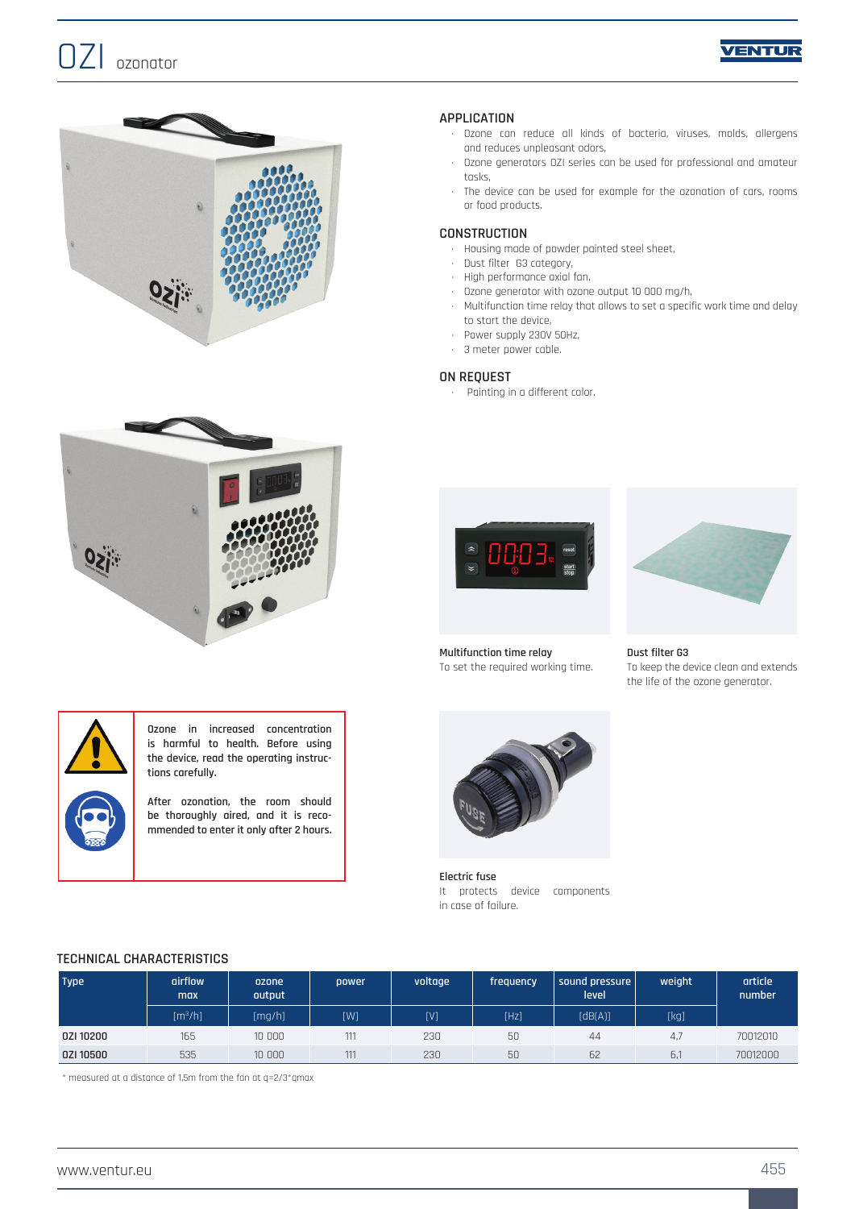







**Ozone in increased concentration is harmful to health. Before using the device, read the operating instructions carefully.**

**After ozonation, the room should be thoroughly aired, and it is recommended to enter it only after 2 hours.**

## **APPLICATION**

- · Ozone can reduce all kinds of bacteria, viruses, molds, allergens and reduces unpleasant odors,
- · Ozone generators OZI series can be used for professional and amateur tasks,
- · The device can be used for example for the ozonation of cars, rooms or food products.

### **CONSTRUCTION**

- · Housing made of powder painted steel sheet,
- · Dust filter G3 category,
- · High performance axial fan,
- · Ozone generator with ozone output 10 000 mg/h,
- · Multifunction time relay that allows to set a specific work time and delay to start the device,
- · Power supply 230V 50Hz,
- · 3 meter power cable.

#### **ON REQUEST**

· Painting in a different color.



**Multifunction time relay** To set the required working time.



**Dust filter G3** To keep the device clean and extends the life of the ozone generator.



**Electric fuse** It protects device components in case of failure.

### **TECHNICAL CHARACTERISTICS**

| <b>Type</b> | airflow<br>max      | ozone<br>output | power | voltage | frequency | sound pressure  <br>level | weight | article<br>number |
|-------------|---------------------|-----------------|-------|---------|-----------|---------------------------|--------|-------------------|
|             | [m <sup>3</sup> /h] | [mq/h]          | [W]   | [V]     | [Hz]      | [dB(A)]                   | [kg]   |                   |
| 0ZI 10200   | 165                 | 10 000          | 111   | 230     | 50        | 44                        | 4,7    | 70012010          |
| 0ZI 10500   | 535                 | 10 000          | 111   | 230     | 50        | 62                        | Б,     | 70012000          |

\* measured at a distance of 1,5m from the fan at q=2/3\*qmax